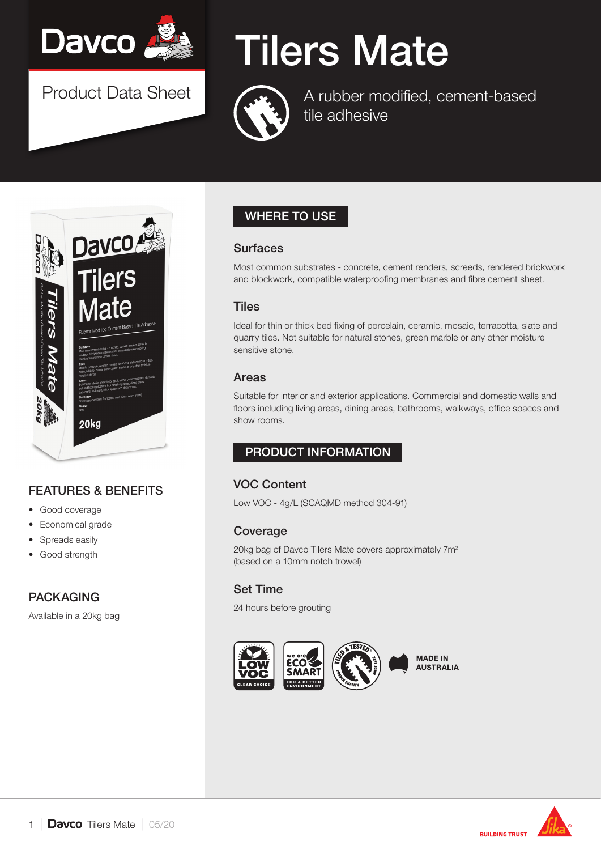

Product Data Sheet

# Tilers Mate



A rubber modified, cement-based tile adhesive



# FEATURES & BENEFITS

- Good coverage
- Economical grade
- Spreads easily
- Good strength

# PACKAGING

Available in a 20kg bag

# WHERE TO USE

#### **Surfaces**

Most common substrates - concrete, cement renders, screeds, rendered brickwork and blockwork, compatible waterproofing membranes and fibre cement sheet.

#### **Tiles**

Ideal for thin or thick bed fixing of porcelain, ceramic, mosaic, terracotta, slate and quarry tiles. Not suitable for natural stones, green marble or any other moisture sensitive stone.

#### Areas

Suitable for interior and exterior applications. Commercial and domestic walls and floors including living areas, dining areas, bathrooms, walkways, office spaces and show rooms.

# PRODUCT INFORMATION

# VOC Content

Low VOC - 4g/L (SCAQMD method 304-91)

#### Coverage

20kg bag of Davco Tilers Mate covers approximately 7m2 (based on a 10mm notch trowel)

### Set Time

24 hours before grouting



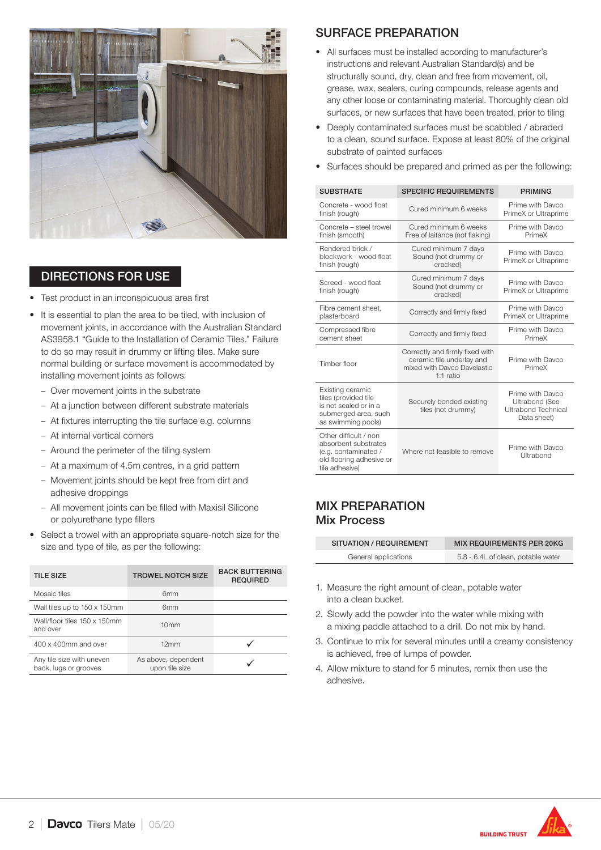

#### DIRECTIONS FOR USE

- Test product in an inconspicuous area first
- It is essential to plan the area to be tiled, with inclusion of movement joints, in accordance with the Australian Standard AS3958.1 "Guide to the Installation of Ceramic Tiles." Failure to do so may result in drummy or lifting tiles. Make sure normal building or surface movement is accommodated by installing movement joints as follows:
	- Over movement joints in the substrate
	- At a junction between different substrate materials
	- At fixtures interrupting the tile surface e.g. columns
	- At internal vertical corners
	- Around the perimeter of the tiling system
	- At a maximum of 4.5m centres, in a grid pattern
	- Movement joints should be kept free from dirt and adhesive droppings
	- All movement joints can be filled with Maxisil Silicone or polyurethane type fillers
- Select a trowel with an appropriate square-notch size for the size and type of tile, as per the following:

| <b>TILE SIZE</b>                                   | <b>TROWEL NOTCH SIZE</b>              | <b>BACK BUTTERING</b><br><b>REQUIRED</b> |
|----------------------------------------------------|---------------------------------------|------------------------------------------|
| Mosaic tiles                                       | 6 <sub>mm</sub>                       |                                          |
| Wall tiles up to 150 x 150mm                       | 6 <sub>mm</sub>                       |                                          |
| Wall/floor tiles 150 x 150mm<br>and over           | 10 <sub>mm</sub>                      |                                          |
| 400 x 400mm and over                               | 12mm                                  |                                          |
| Any tile size with uneven<br>back, lugs or grooves | As above, dependent<br>upon tile size |                                          |

### SURFACE PREPARATION

- All surfaces must be installed according to manufacturer's instructions and relevant Australian Standard(s) and be structurally sound, dry, clean and free from movement, oil, grease, wax, sealers, curing compounds, release agents and any other loose or contaminating material. Thoroughly clean old surfaces, or new surfaces that have been treated, prior to tiling
- Deeply contaminated surfaces must be scabbled / abraded to a clean, sound surface. Expose at least 80% of the original substrate of painted surfaces
- Surfaces should be prepared and primed as per the following:

| <b>SUBSTRATE</b>                                                                                                    | <b>SPECIFIC REQUIREMENTS</b>                                                                               | <b>PRIMING</b>                                                                  |
|---------------------------------------------------------------------------------------------------------------------|------------------------------------------------------------------------------------------------------------|---------------------------------------------------------------------------------|
| Concrete - wood float<br>finish (rough)                                                                             | Cured minimum 6 weeks                                                                                      | Prime with Davco<br>PrimeX or Ultraprime                                        |
| Concrete - steel trowel<br>finish (smooth)                                                                          | Cured minimum 6 weeks<br>Free of laitance (not flaking)                                                    | Prime with Davco<br>PrimeX                                                      |
| Rendered brick /<br>blockwork - wood float<br>finish (rough)                                                        | Cured minimum 7 days<br>Sound (not drummy or<br>cracked)                                                   | Prime with Davco<br>PrimeX or Ultraprime                                        |
| Screed - wood float<br>finish (rough)                                                                               | Cured minimum 7 days<br>Sound (not drummy or<br>cracked)                                                   | Prime with Davco<br>PrimeX or Ultraprime                                        |
| Fibre cement sheet.<br>plasterboard                                                                                 | Correctly and firmly fixed                                                                                 | Prime with Davco<br>PrimeX or Ultraprime                                        |
| Compressed fibre<br>cement sheet                                                                                    | Correctly and firmly fixed                                                                                 | Prime with Davco<br>PrimeX                                                      |
| Timber floor                                                                                                        | Correctly and firmly fixed with<br>ceramic tile underlay and<br>mixed with Davco Davelastic<br>$1:1$ ratio | Prime with Davco<br>PrimeX                                                      |
| Existing ceramic<br>tiles (provided tile<br>is not sealed or in a<br>submerged area, such<br>as swimming pools)     | Securely bonded existing<br>tiles (not drummy)                                                             | Prime with Davco<br><b>Ultrabond (See</b><br>Ultrabond Technical<br>Data sheet) |
| Other difficult / non<br>absorbent substrates<br>(e.g. contaminated /<br>old flooring adhesive or<br>tile adhesive) | Where not feasible to remove                                                                               | Prime with Davco<br>Ultrabond                                                   |

#### MIX PREPARATION Mix Process

| SITUATION / REQUIREMENT | <b>MIX REQUIREMENTS PER 20KG</b>   |
|-------------------------|------------------------------------|
| General applications    | 5.8 - 6.4L of clean, potable water |

- 1. Measure the right amount of clean, potable water into a clean bucket.
- 2. Slowly add the powder into the water while mixing with a mixing paddle attached to a drill. Do not mix by hand.
- 3. Continue to mix for several minutes until a creamy consistency is achieved, free of lumps of powder.
- 4. Allow mixture to stand for 5 minutes, remix then use the adhesive.